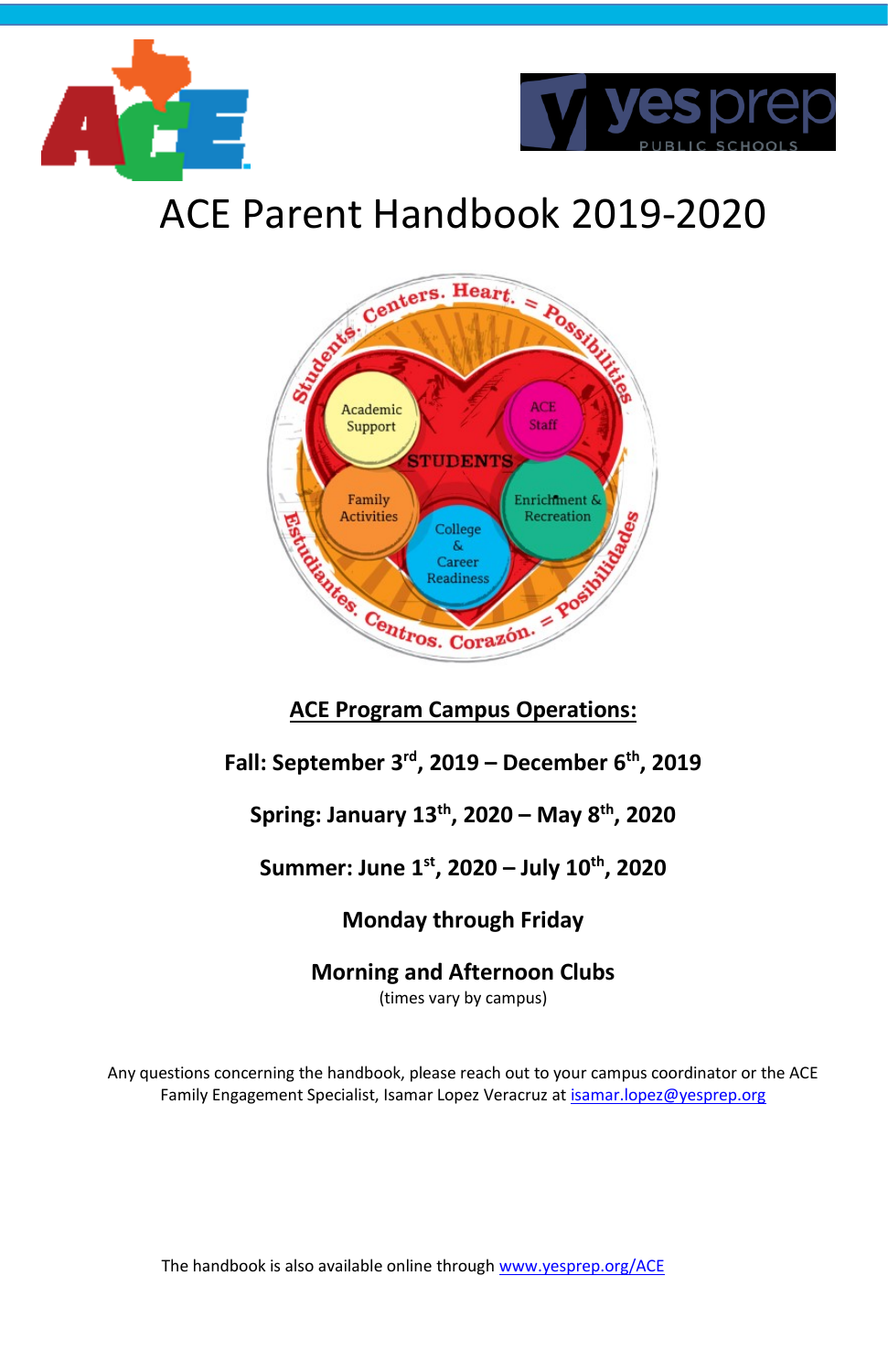



# ACE Parent Handbook 2019-2020



# **Fall: September 3rd, 2019 – December 6 th, 2019**

# **Spring: January 13 th, 2020 – May 8 th, 2020**

# **Summer: June 1 st, 2020 – July 10 th, 2020**

# **Monday through Friday**

# **Morning and Afternoon Clubs**

(times vary by campus)

Any questions concerning the handbook, please reach out to your campus coordinator or the ACE Family Engagement Specialist, Isamar Lopez Veracruz a[t isamar.lopez@yesprep.org](mailto:isamar.lopez@yesprep.org)

The handbook is also available online throug[h www.yesprep.org/ACE](http://www.yesprep.org/ACE)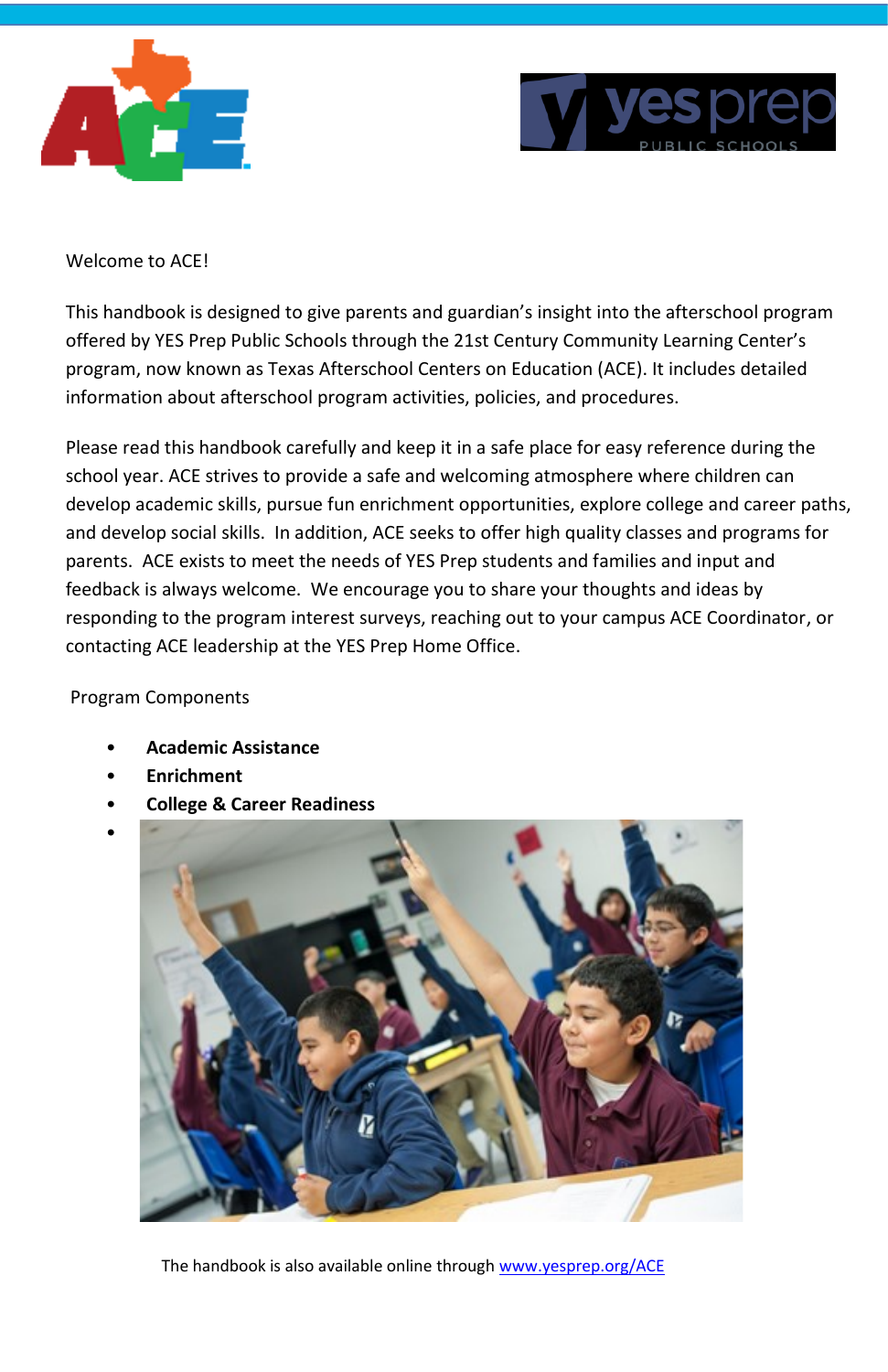



#### Welcome to ACE!

This handbook is designed to give parents and guardian's insight into the afterschool program offered by YES Prep Public Schools through the 21st Century Community Learning Center's program, now known as Texas Afterschool Centers on Education (ACE). It includes detailed information about afterschool program activities, policies, and procedures.

Please read this handbook carefully and keep it in a safe place for easy reference during the school year. ACE strives to provide a safe and welcoming atmosphere where children can develop academic skills, pursue fun enrichment opportunities, explore college and career paths, and develop social skills. In addition, ACE seeks to offer high quality classes and programs for parents. ACE exists to meet the needs of YES Prep students and families and input and feedback is always welcome. We encourage you to share your thoughts and ideas by responding to the program interest surveys, reaching out to your campus ACE Coordinator, or contacting ACE leadership at the YES Prep Home Office.

#### Program Components

- **Academic Assistance**
- **Enrichment**
- **College & Career Readiness**



The handbook is also available online throug[h www.yesprep.org/ACE](http://www.yesprep.org/ACE)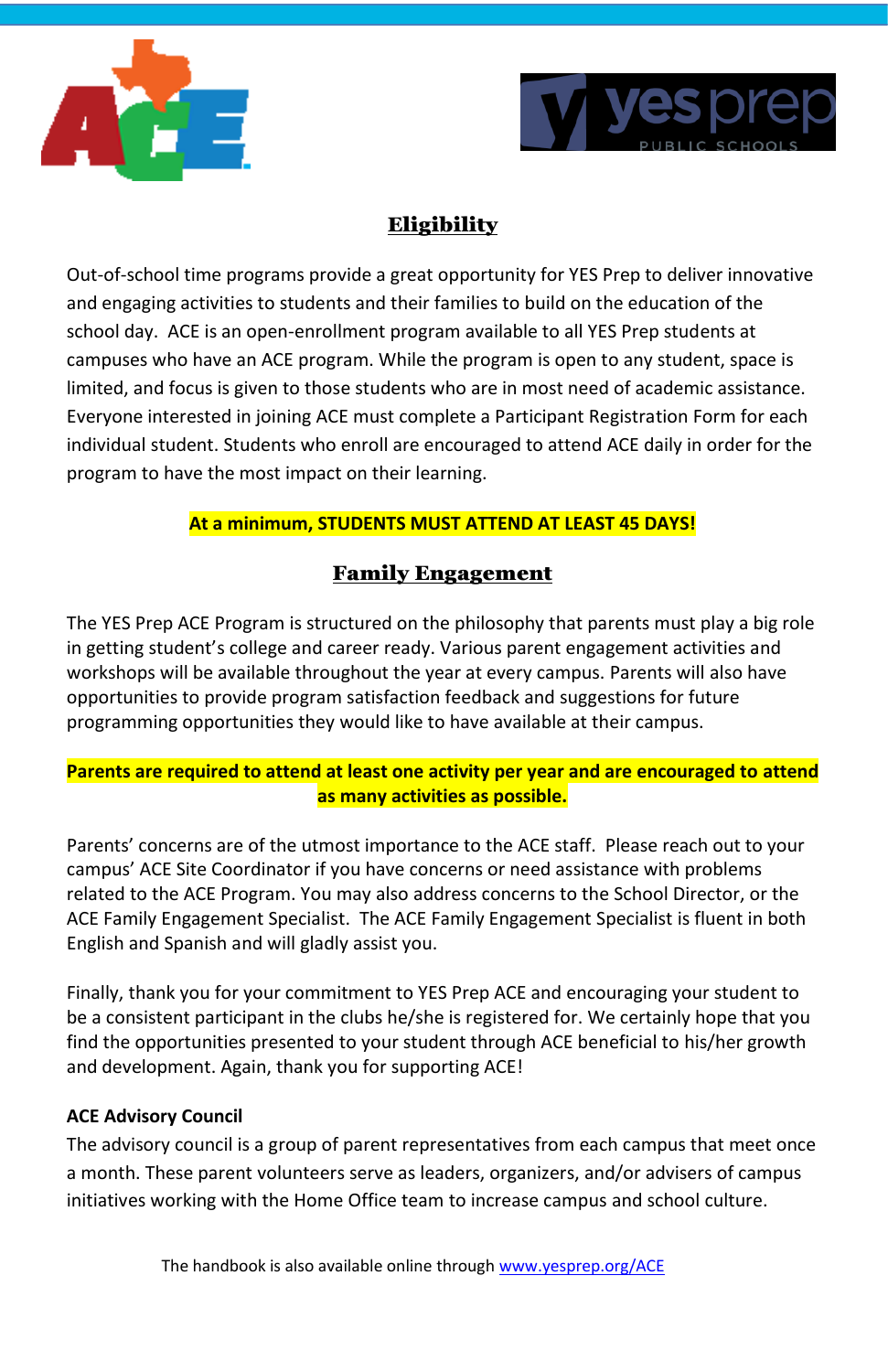



# Eligibility

Out-of-school time programs provide a great opportunity for YES Prep to deliver innovative and engaging activities to students and their families to build on the education of the school day. ACE is an open-enrollment program available to all YES Prep students at campuses who have an ACE program. While the program is open to any student, space is limited, and focus is given to those students who are in most need of academic assistance. Everyone interested in joining ACE must complete a Participant Registration Form for each individual student. Students who enroll are encouraged to attend ACE daily in order for the program to have the most impact on their learning.

# **At a minimum, STUDENTS MUST ATTEND AT LEAST 45 DAYS!**

# Family Engagement

The YES Prep ACE Program is structured on the philosophy that parents must play a big role in getting student's college and career ready. Various parent engagement activities and workshops will be available throughout the year at every campus. Parents will also have opportunities to provide program satisfaction feedback and suggestions for future programming opportunities they would like to have available at their campus.

## **Parents are required to attend at least one activity per year and are encouraged to attend as many activities as possible.**

Parents' concerns are of the utmost importance to the ACE staff. Please reach out to your campus' ACE Site Coordinator if you have concerns or need assistance with problems related to the ACE Program. You may also address concerns to the School Director, or the ACE Family Engagement Specialist. The ACE Family Engagement Specialist is fluent in both English and Spanish and will gladly assist you.

Finally, thank you for your commitment to YES Prep ACE and encouraging your student to be a consistent participant in the clubs he/she is registered for. We certainly hope that you find the opportunities presented to your student through ACE beneficial to his/her growth and development. Again, thank you for supporting ACE!

### **ACE Advisory Council**

The advisory council is a group of parent representatives from each campus that meet once a month. These parent volunteers serve as leaders, organizers, and/or advisers of campus initiatives working with the Home Office team to increase campus and school culture.